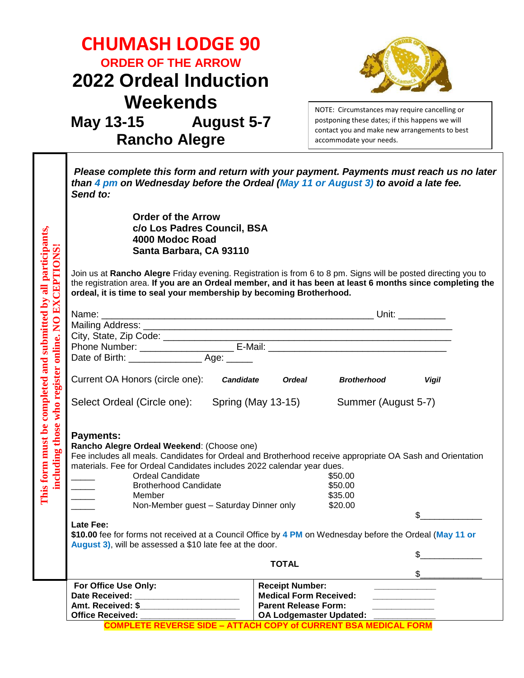| Please complete this form and return with your payment. Payments must reach us no later<br>than 4 pm on Wednesday before the Ordeal (May 11 or August 3) to avoid a late fee.<br>Send to:                                                                                                                                                                                                                                                                                                         |  |  |  |  |
|---------------------------------------------------------------------------------------------------------------------------------------------------------------------------------------------------------------------------------------------------------------------------------------------------------------------------------------------------------------------------------------------------------------------------------------------------------------------------------------------------|--|--|--|--|
| <b>Order of the Arrow</b><br>c/o Los Padres Council, BSA<br>mpleted and submitted by all participants,<br>4000 Modoc Road<br>to register online. NO EXCEPTIONS!<br>Santa Barbara, CA 93110<br>Join us at Rancho Alegre Friday evening. Registration is from 6 to 8 pm. Signs will be posted directing you to<br>the registration area. If you are an Ordeal member, and it has been at least 6 months since completing the<br>ordeal, it is time to seal your membership by becoming Brotherhood. |  |  |  |  |
|                                                                                                                                                                                                                                                                                                                                                                                                                                                                                                   |  |  |  |  |
|                                                                                                                                                                                                                                                                                                                                                                                                                                                                                                   |  |  |  |  |
|                                                                                                                                                                                                                                                                                                                                                                                                                                                                                                   |  |  |  |  |
|                                                                                                                                                                                                                                                                                                                                                                                                                                                                                                   |  |  |  |  |
|                                                                                                                                                                                                                                                                                                                                                                                                                                                                                                   |  |  |  |  |
|                                                                                                                                                                                                                                                                                                                                                                                                                                                                                                   |  |  |  |  |
|                                                                                                                                                                                                                                                                                                                                                                                                                                                                                                   |  |  |  |  |
| Fee includes all meals. Candidates for Ordeal and Brotherhood receive appropriate OA Sash and Orientation                                                                                                                                                                                                                                                                                                                                                                                         |  |  |  |  |
|                                                                                                                                                                                                                                                                                                                                                                                                                                                                                                   |  |  |  |  |
| Late Fee:<br>\$10.00 fee for forms not received at a Council Office by 4 PM on Wednesday before the Ordeal (May 11 or                                                                                                                                                                                                                                                                                                                                                                             |  |  |  |  |
| August 3), will be assessed a \$10 late fee at the door.<br>\$                                                                                                                                                                                                                                                                                                                                                                                                                                    |  |  |  |  |
|                                                                                                                                                                                                                                                                                                                                                                                                                                                                                                   |  |  |  |  |
|                                                                                                                                                                                                                                                                                                                                                                                                                                                                                                   |  |  |  |  |
| <b>Receipt Number:</b>                                                                                                                                                                                                                                                                                                                                                                                                                                                                            |  |  |  |  |
| Date Received:<br><b>Medical Form Received:</b><br>Amt. Received: \$_______________________<br><b>Parent Release Form:</b>                                                                                                                                                                                                                                                                                                                                                                        |  |  |  |  |
| Office Received:<br><b>OA Lodgemaster Updated:</b><br><b>COMPLETE REVERSE SIDE - ATTACH COPY of CURRENT BSA MEDICAL FORM</b>                                                                                                                                                                                                                                                                                                                                                                      |  |  |  |  |
|                                                                                                                                                                                                                                                                                                                                                                                                                                                                                                   |  |  |  |  |